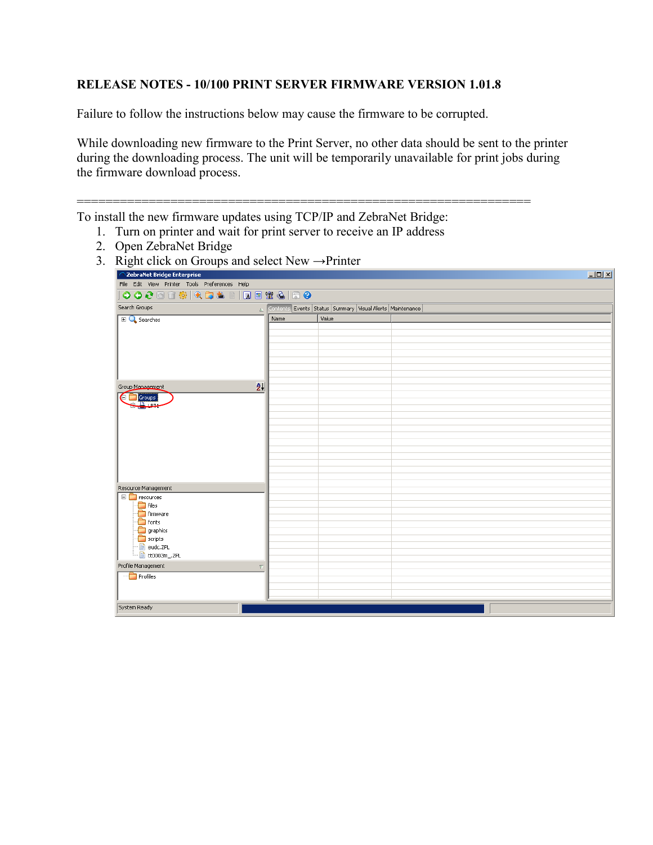## **RELEASE NOTES - 10/100 PRINT SERVER FIRMWARE VERSION 1.01.8**

Failure to follow the instructions below may cause the firmware to be corrupted.

While downloading new firmware to the Print Server, no other data should be sent to the printer during the downloading process. The unit will be temporarily unavailable for print jobs during the firmware download process.

=============================================================== To install the new firmware updates using TCP/IP and ZebraNet Bridge:

- 1. Turn on printer and wait for print server to receive an IP address
- 2. Open ZebraNet Bridge

| ZebraNet Bridge Enterprise                    |                     |                                                          |  | $\Box$ D $\Box$ |  |
|-----------------------------------------------|---------------------|----------------------------------------------------------|--|-----------------|--|
| File Edit View Printer Tools Preferences Help |                     |                                                          |  |                 |  |
|                                               |                     |                                                          |  |                 |  |
| Search Groups                                 | $\Delta$            | Contents Events Status Summary Visual Alerts Maintenance |  |                 |  |
| $\mathbb{E} \mathbf{Q}$ Searches              | Name                | Value                                                    |  |                 |  |
|                                               |                     |                                                          |  |                 |  |
|                                               |                     |                                                          |  |                 |  |
|                                               |                     |                                                          |  |                 |  |
|                                               |                     |                                                          |  |                 |  |
|                                               |                     |                                                          |  |                 |  |
| Group Management                              | $\frac{A}{Z}$       |                                                          |  |                 |  |
|                                               |                     |                                                          |  |                 |  |
| <b>E</b> Groups                               |                     |                                                          |  |                 |  |
|                                               |                     |                                                          |  |                 |  |
|                                               |                     |                                                          |  |                 |  |
|                                               |                     |                                                          |  |                 |  |
|                                               |                     |                                                          |  |                 |  |
|                                               |                     |                                                          |  |                 |  |
|                                               |                     |                                                          |  |                 |  |
|                                               |                     |                                                          |  |                 |  |
| Resource Management                           |                     |                                                          |  |                 |  |
| $\Box$ resources                              |                     |                                                          |  |                 |  |
| $\Box$ files                                  |                     |                                                          |  |                 |  |
| firmware<br>$\Box$ fonts                      |                     |                                                          |  |                 |  |
| graphics                                      |                     |                                                          |  |                 |  |
| scripts                                       |                     |                                                          |  |                 |  |
| <sup></sup> Beudc.ZPL                         |                     |                                                          |  |                 |  |
| <u>lese and</u> ttooo3m_.ZPL                  |                     |                                                          |  |                 |  |
| Profile Management                            | $\overline{\nabla}$ |                                                          |  |                 |  |
| $\Box$ Profiles                               |                     |                                                          |  |                 |  |
|                                               |                     |                                                          |  |                 |  |
|                                               |                     |                                                          |  |                 |  |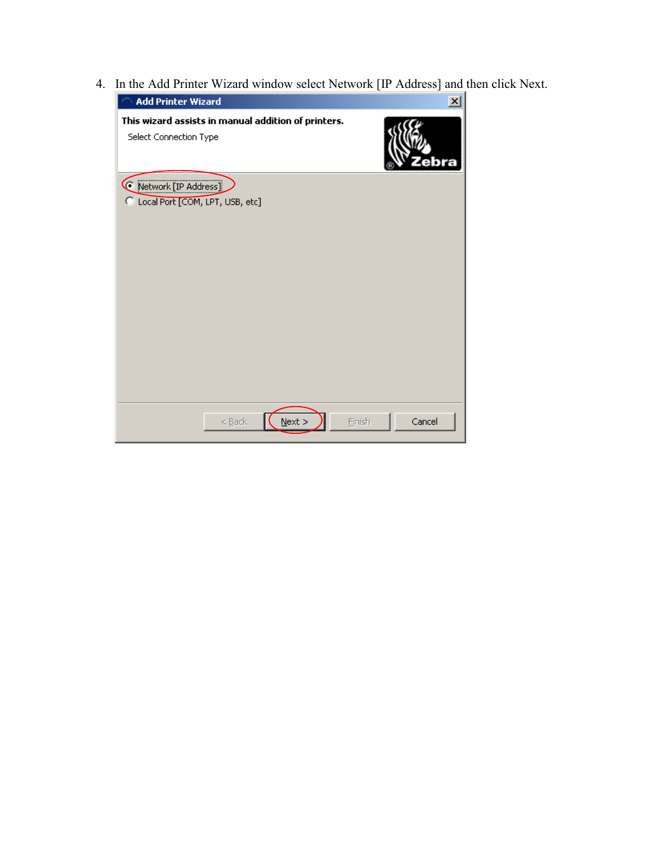4. In the Add Printer Wizard window select Network [IP Address] and then click Next.

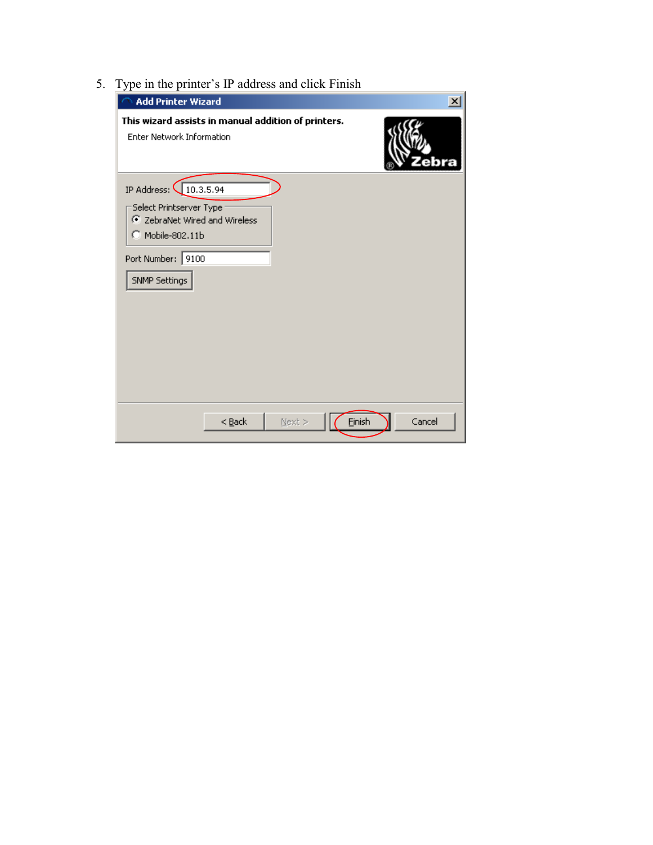5. Type in the printer's IP address and click Finish

| <b>Add Printer Wizard</b>                                                                                                                   | $\pmb{\times}$ |
|---------------------------------------------------------------------------------------------------------------------------------------------|----------------|
| This wizard assists in manual addition of printers.<br>Enter Network Information                                                            |                |
| IP Address: 10.3.5.94<br>Select Printserver Type<br>C ZebraNet Wired and Wireless<br>C Mobile-802.11b<br>Port Number: 9100<br>SNMP Settings |                |
| Einish<br>$<$ Back<br>$N$ ext >                                                                                                             | Cancel         |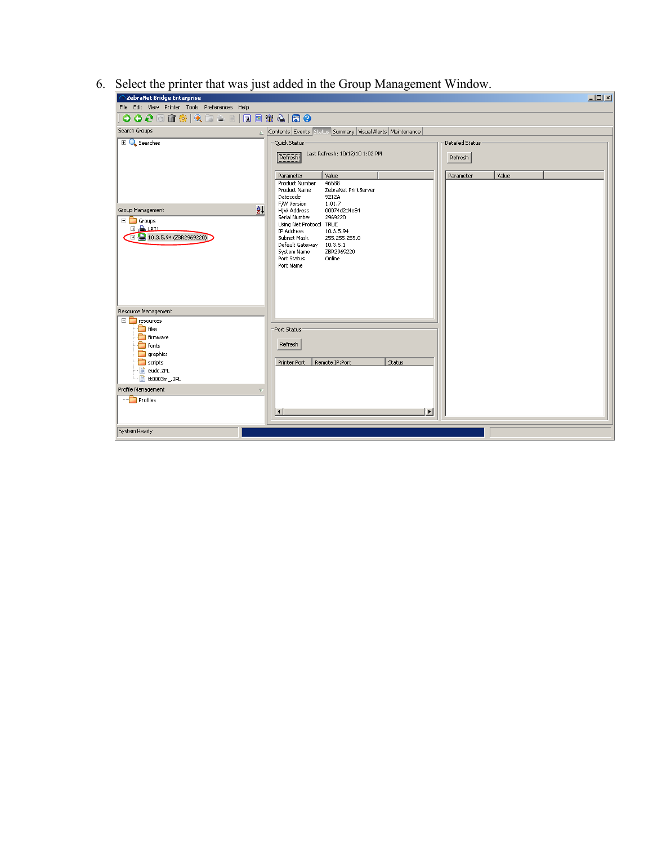6. Select the printer that was just added in the Group Management Window.

| ZebraNet Bridge Enterprise                                                                                                                                                                      | $\Box$ D $\Box$                                                                                                                                                                                                                                        |  |
|-------------------------------------------------------------------------------------------------------------------------------------------------------------------------------------------------|--------------------------------------------------------------------------------------------------------------------------------------------------------------------------------------------------------------------------------------------------------|--|
| File Edit View Printer Tools Preferences Help                                                                                                                                                   |                                                                                                                                                                                                                                                        |  |
|                                                                                                                                                                                                 |                                                                                                                                                                                                                                                        |  |
| Search Groups<br>A                                                                                                                                                                              | Contents Events Status Summary Visual Alerts Maintenance                                                                                                                                                                                               |  |
| $\Box$ Searches                                                                                                                                                                                 | Ouick Status<br>Detailed Status<br>Last Refresh: 10/12/10 1:02 PM<br>Refresh<br>Refresh<br>Value<br>Value<br>Parameter<br>Parameter<br>Product Number<br>46688<br>Product Name<br>ZebraNet PrintServer<br>Datecode<br>9212A<br>F/W Version             |  |
| $\frac{A}{2}$<br>Group Management<br>$\Box$ Groups<br>ம் <mark>பி. மாட</mark><br>EH 3, 10.3.5.94 (ZBR2969220)                                                                                   | 1.01.7<br>H/W Address<br>00074d2d4e84<br>Serial Number<br>2969220<br>Using Net Protocol TRUE<br>IP Address<br>10.3.5.94<br>Subnet Mask<br>255.255.255.0<br>Default Gateway 10.3.5.1<br>System Name<br>ZBR2969220<br>Online<br>Port Status<br>Port Name |  |
| Resource Management<br>$\Box$ resources<br>$\Box$ files<br>Firmware<br>$\Box$ fonts<br>graphics<br>$\Box$ scripts<br>- audc.ZPL<br>· bt0003m_.ZPL<br>Profile Management<br>Ψ<br><b>Profiles</b> | Port Status<br>Refresh<br>Status<br>Printer Port<br>Remote IP:Port<br>$\vert \cdot \vert$<br>$\blacktriangleright$                                                                                                                                     |  |
| System Ready                                                                                                                                                                                    |                                                                                                                                                                                                                                                        |  |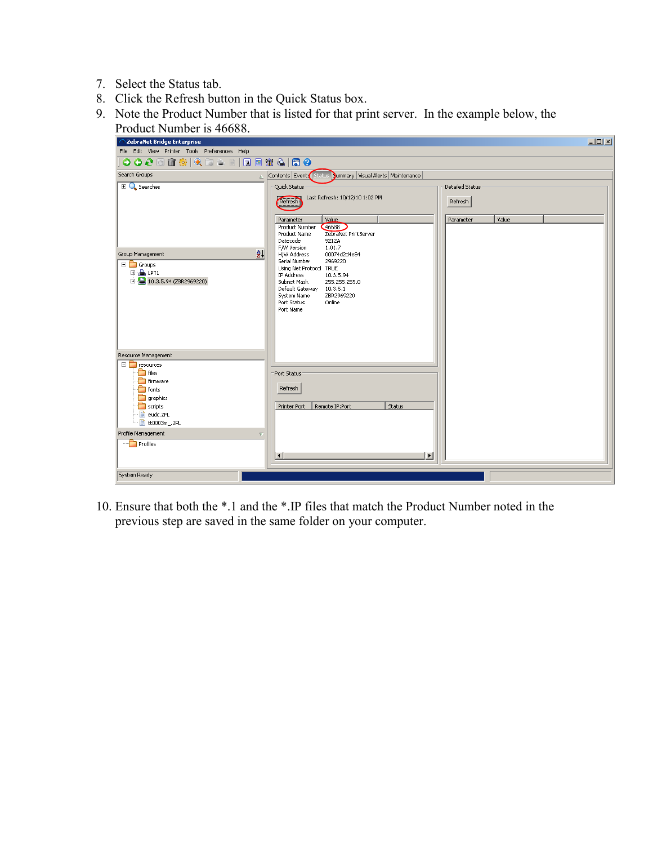- 7. Select the Status tab.
- 8. Click the Refresh button in the Quick Status box.
- 9. Note the Product Number that is listed for that print server. In the example below, the



10. Ensure that both the \*.1 and the \*.IP files that match the Product Number noted in the previous step are saved in the same folder on your computer.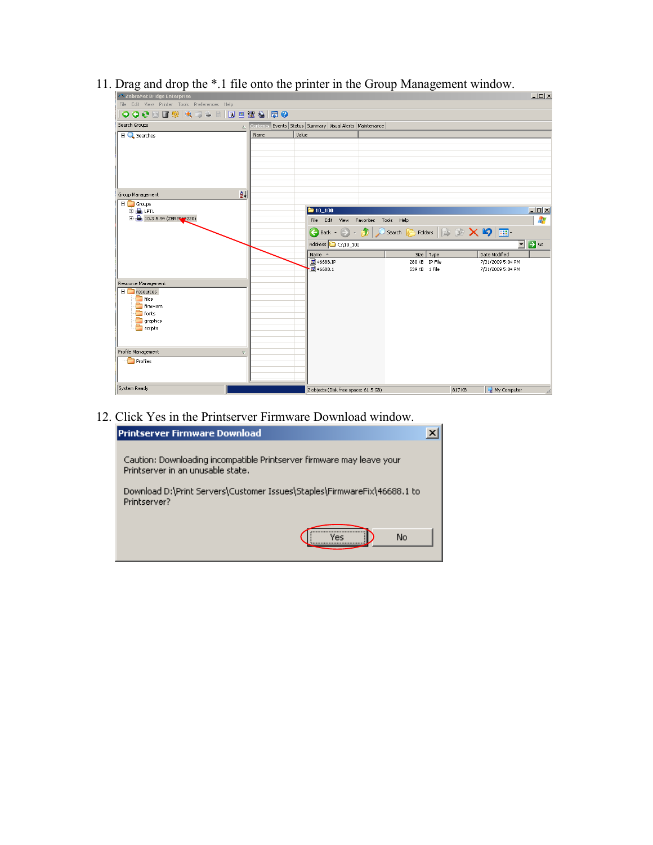| 22 ZebraNet Bridge Enterprise                                                                                 |               |                                                          |                                     | $\Box$                                                                    |
|---------------------------------------------------------------------------------------------------------------|---------------|----------------------------------------------------------|-------------------------------------|---------------------------------------------------------------------------|
| File Edit View Printer Tools Preferences Help                                                                 |               |                                                          |                                     |                                                                           |
| │●●●□□※│●□▲□  □□□□●□●●                                                                                        |               |                                                          |                                     |                                                                           |
| Search Groups                                                                                                 | $\triangle$   | Contents Events Status Summary Visual Alerts Maintenance |                                     |                                                                           |
| El C Searches                                                                                                 | Name          | Value                                                    |                                     |                                                                           |
|                                                                                                               |               |                                                          |                                     |                                                                           |
| Group Management                                                                                              | $\frac{A}{2}$ |                                                          |                                     |                                                                           |
| $\Box$ Groups<br><b>E-BLPT1</b><br>$+ 10.3.5.94 (ZBR2969220)$                                                 |               | $\approx 10 - 100$                                       |                                     | $\Box$                                                                    |
|                                                                                                               |               |                                                          | File Edit View Favorites Tools Help | 47                                                                        |
|                                                                                                               |               | $\bigodot$ Back $\cdot$ $\bigodot$ $\cdot$ $\bigodot$    | Search                              | Folders $\mathbb{B} \otimes \mathbb{X}$ $\mathbb{S}$ $\boxed{\mathbb{m}}$ |
|                                                                                                               |               | Address <b>C</b> C:\10_100                               |                                     | $\Box$ $\rightarrow$ $\circ$                                              |
|                                                                                                               |               | Name $\triangleq$                                        | Size   Type                         | Date Modified                                                             |
|                                                                                                               |               | 国 46688.IP<br>回 46688.1                                  | 280 KB IP File<br>539 KB 1 File     | 7/31/2009 5:04 PM<br>7/31/2009 5:04 PM                                    |
| Resource Management                                                                                           |               |                                                          |                                     |                                                                           |
| $\Box$ resources<br>$\blacksquare$ files<br><b>The Firmware</b><br>$\Box$ fonts<br>graphics<br>$\Box$ scripts |               |                                                          |                                     |                                                                           |
| Profile Management                                                                                            | $\nabla$      |                                                          |                                     |                                                                           |
| <b>Profiles</b>                                                                                               |               |                                                          |                                     |                                                                           |
| System Ready                                                                                                  |               | 2 objects (Disk free space: 61.5 GB)                     |                                     | 817 KB<br>My Computer                                                     |

11. Drag and drop the \*.1 file onto the printer in the Group Management window.

12. Click Yes in the Printserver Firmware Download window.

| <b>Printserver Firmware Download</b>                                                                       |           |  |
|------------------------------------------------------------------------------------------------------------|-----------|--|
| Caution: Downloading incompatible Printserver firmware may leave your<br>Printserver in an unusable state. |           |  |
| Download D:\Print Servers\Customer Issues\Staples\FirmwareFix\46688.1 to<br>Printserver?                   |           |  |
|                                                                                                            | No<br>Yes |  |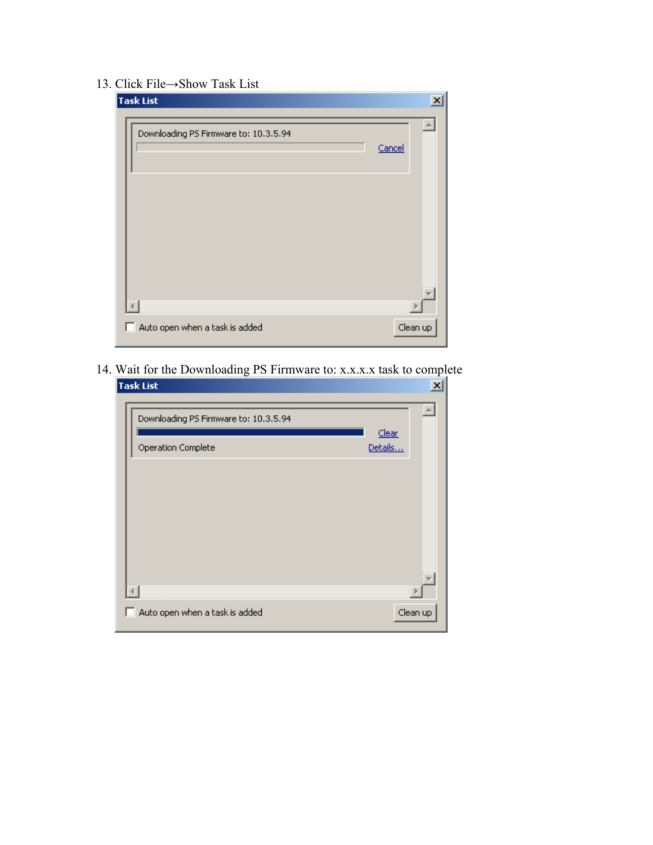## 13. Click File→Show Task List

| Task List                             | $\vert x \vert$ |
|---------------------------------------|-----------------|
| Downloading PS Firmware to: 10.3.5.94 | Cancel          |
|                                       |                 |
|                                       |                 |
|                                       |                 |
| Auto open when a task is added        | Clean up        |

14. Wait for the Downloading PS Firmware to: x.x.x.x task to complete<br>Task List

| ask List                              | ≃                |
|---------------------------------------|------------------|
| Downloading PS Firmware to: 10.3.5.94 |                  |
| Operation Complete                    | Clear<br>Details |
|                                       |                  |
|                                       |                  |
|                                       |                  |
|                                       |                  |
| Auto open when a task is added<br>L.  | Clean up         |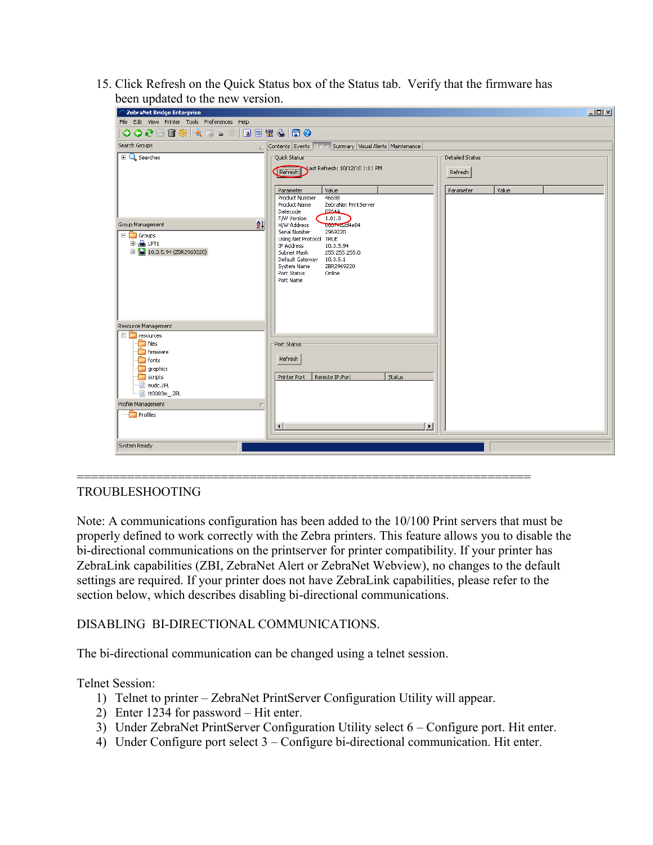15. Click Refresh on the Quick Status box of the Status tab. Verify that the firmware has been updated to the new version.

| $\mathbf{r}$<br>ZebraNet Bridge Enterprise                                                                                                                                                                    |                                                                                                                                                                                                                                                                                               | $\Box$ |
|---------------------------------------------------------------------------------------------------------------------------------------------------------------------------------------------------------------|-----------------------------------------------------------------------------------------------------------------------------------------------------------------------------------------------------------------------------------------------------------------------------------------------|--------|
| File Edit View Printer Tools Preferences Help                                                                                                                                                                 |                                                                                                                                                                                                                                                                                               |        |
| <b>0000m% QD ≥ B   Q @ \ &amp;   Q 0</b>                                                                                                                                                                      |                                                                                                                                                                                                                                                                                               |        |
| Search Groups<br>$\triangle$                                                                                                                                                                                  | Contents Events Status Summary Visual Alerts Maintenance                                                                                                                                                                                                                                      |        |
| $\mathbb{E} \mathbf{Q}$ Searches                                                                                                                                                                              | Detailed Status<br>Quick Status<br>Refresh Sast Refresh: 10/12/10 1:11 PM<br>Refresh<br>Value<br>Value<br>Parameter<br>Parameter<br>Product Number<br>46688<br>Product Name<br>ZebraNet PrintServer                                                                                           |        |
| ₫Į<br>Group Management<br>$\Box$ Groups<br><b>E</b> LPT1<br>$H = 10.3.5.94 (ZBR2969220)$                                                                                                                      | Datecode<br>0264A<br>F/W Version<br>1.01.8<br>00074dzd4e84<br>H/W Address<br>Serial Number<br>2969220<br>Using Net Protocol TRUE<br>IP Address<br>10.3.5.94<br>Subnet Mask<br>255.255.255.0<br>Default Gateway<br>10.3.5.1<br>ZBR2969220<br>System Name<br>Online<br>Port Status<br>Port Name |        |
| Resource Management<br>$\Box$ resources<br>$\Box$ files<br>firmware<br>fonts<br>graphics<br>$\Box$ scripts<br>- a eudc.ZPL<br>- att0003m .ZPL<br>Profile Management<br>$\overline{\nabla}$<br><b>Profiles</b> | Port Status<br>Refresh<br>Status<br>Printer Port<br>Remote IP:Port<br>$\left  \cdot \right $<br>$\blacktriangleright$                                                                                                                                                                         |        |
| System Ready                                                                                                                                                                                                  |                                                                                                                                                                                                                                                                                               |        |

## TROUBLESHOOTING

Note: A communications configuration has been added to the 10/100 Print servers that must be properly defined to work correctly with the Zebra printers. This feature allows you to disable the bi-directional communications on the printserver for printer compatibility. If your printer has ZebraLink capabilities (ZBI, ZebraNet Alert or ZebraNet Webview), no changes to the default settings are required. If your printer does not have ZebraLink capabilities, please refer to the section below, which describes disabling bi-directional communications.

===============================================================

DISABLING BI-DIRECTIONAL COMMUNICATIONS.

The bi-directional communication can be changed using a telnet session.

Telnet Session:

- 1) Telnet to printer ZebraNet PrintServer Configuration Utility will appear.
- 2) Enter 1234 for password Hit enter.
- 3) Under ZebraNet PrintServer Configuration Utility select 6 Configure port. Hit enter.
- 4) Under Configure port select 3 Configure bi-directional communication. Hit enter.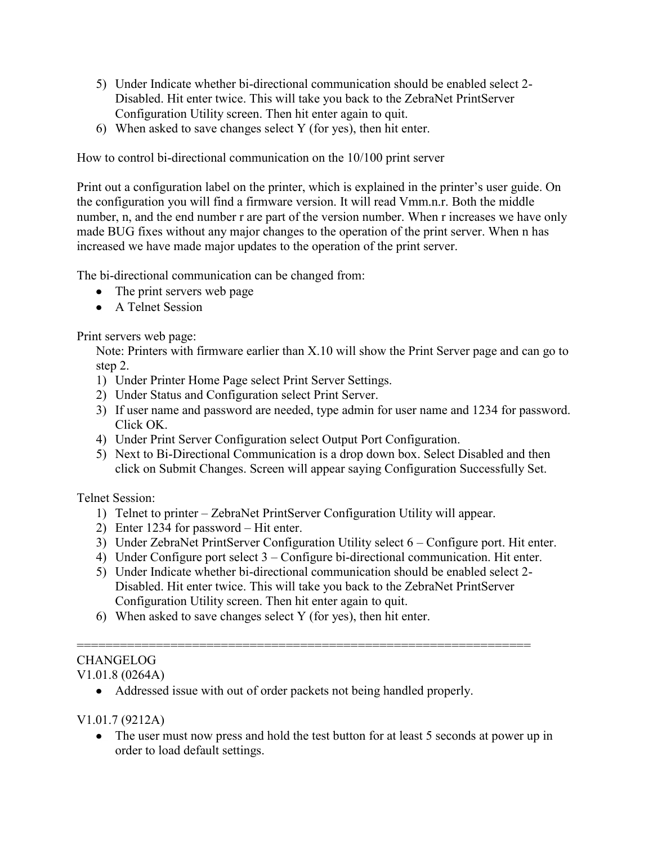- 5) Under Indicate whether bi-directional communication should be enabled select 2- Disabled. Hit enter twice. This will take you back to the ZebraNet PrintServer Configuration Utility screen. Then hit enter again to quit.
- 6) When asked to save changes select Y (for yes), then hit enter.

How to control bi-directional communication on the 10/100 print server

Print out a configuration label on the printer, which is explained in the printer's user guide. On the configuration you will find a firmware version. It will read Vmm.n.r. Both the middle number, n, and the end number r are part of the version number. When r increases we have only made BUG fixes without any major changes to the operation of the print server. When n has increased we have made major updates to the operation of the print server.

The bi-directional communication can be changed from:

- The print servers web page
- A Telnet Session

Print servers web page:

Note: Printers with firmware earlier than X.10 will show the Print Server page and can go to step 2.

- 1) Under Printer Home Page select Print Server Settings.
- 2) Under Status and Configuration select Print Server.
- 3) If user name and password are needed, type admin for user name and 1234 for password. Click OK.
- 4) Under Print Server Configuration select Output Port Configuration.
- 5) Next to Bi-Directional Communication is a drop down box. Select Disabled and then click on Submit Changes. Screen will appear saying Configuration Successfully Set.

Telnet Session:

- 1) Telnet to printer ZebraNet PrintServer Configuration Utility will appear.
- 2) Enter 1234 for password Hit enter.
- 3) Under ZebraNet PrintServer Configuration Utility select 6 Configure port. Hit enter.
- 4) Under Configure port select 3 Configure bi-directional communication. Hit enter.
- 5) Under Indicate whether bi-directional communication should be enabled select 2- Disabled. Hit enter twice. This will take you back to the ZebraNet PrintServer Configuration Utility screen. Then hit enter again to quit.

===============================================================

6) When asked to save changes select Y (for yes), then hit enter.

## CHANGELOG

V1.01.8 (0264A)

Addressed issue with out of order packets not being handled properly.

V1.01.7 (9212A)

• The user must now press and hold the test button for at least 5 seconds at power up in order to load default settings.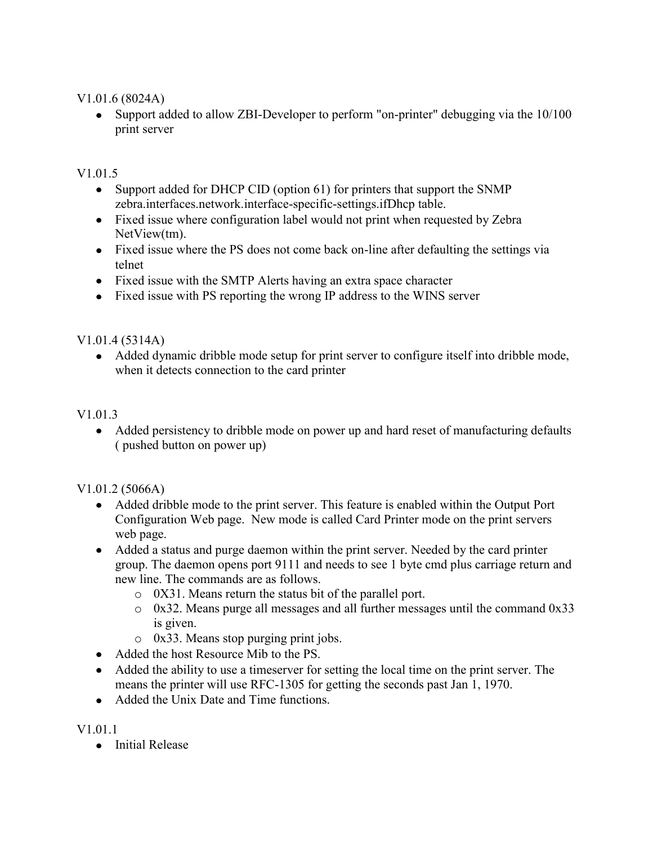V1.01.6 (8024A)

• Support added to allow ZBI-Developer to perform "on-printer" debugging via the 10/100 print server

V<sub>1</sub>.01.5

- Support added for DHCP CID (option 61) for printers that support the SNMP zebra.interfaces.network.interface-specific-settings.ifDhcp table.
- Fixed issue where configuration label would not print when requested by Zebra NetView(tm).
- Fixed issue where the PS does not come back on-line after defaulting the settings via telnet
- Fixed issue with the SMTP Alerts having an extra space character
- Fixed issue with PS reporting the wrong IP address to the WINS server

V1.01.4 (5314A)

Added dynamic dribble mode setup for print server to configure itself into dribble mode, when it detects connection to the card printer

V<sub>1</sub> 0<sup>1</sup> 3

• Added persistency to dribble mode on power up and hard reset of manufacturing defaults ( pushed button on power up)

V1.01.2 (5066A)

- Added dribble mode to the print server. This feature is enabled within the Output Port Configuration Web page. New mode is called Card Printer mode on the print servers web page.
- Added a status and purge daemon within the print server. Needed by the card printer group. The daemon opens port 9111 and needs to see 1 byte cmd plus carriage return and new line. The commands are as follows.
	- o 0X31. Means return the status bit of the parallel port.
	- o 0x32. Means purge all messages and all further messages until the command 0x33 is given.
	- o 0x33. Means stop purging print jobs.
- Added the host Resource Mib to the PS
- Added the ability to use a timeserver for setting the local time on the print server. The means the printer will use RFC-1305 for getting the seconds past Jan 1, 1970.
- Added the Unix Date and Time functions.

V1.01.1

• Initial Release